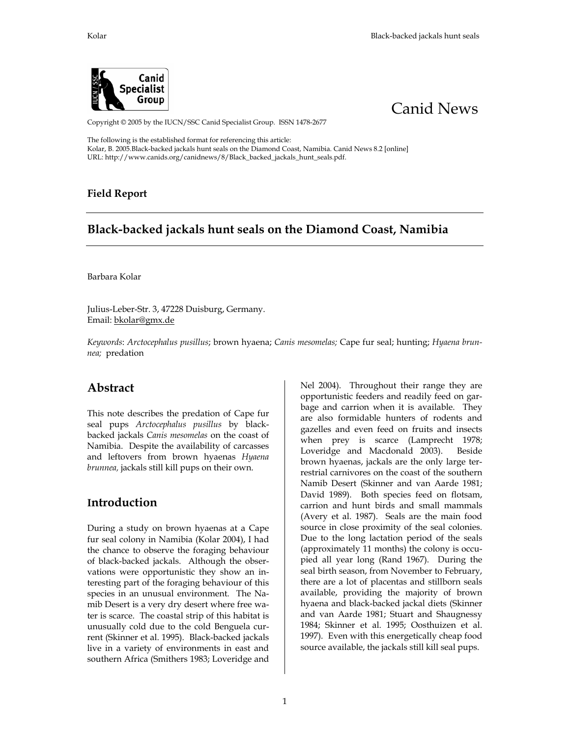



Copyright © 2005 by the IUCN/SSC Canid Specialist Group. ISSN 1478-2677

The following is the established format for referencing this article: Kolar, B. 2005.Black-backed jackals hunt seals on the Diamond Coast, Namibia. Canid News 8.2 [online] URL: http://www.canids.org/canidnews/8/Black\_backed\_jackals\_hunt\_seals.pdf.

#### **Field Report**

## **Black-backed jackals hunt seals on the Diamond Coast, Namibia**

Barbara Kolar

Julius-Leber-Str. 3, 47228 Duisburg, Germany. Email: bkolar@gmx.de

*Keywords*: *Arctocephalus pusillus*; brown hyaena; *Canis mesomelas;* Cape fur seal; hunting; *Hyaena brunnea;* predation

#### **Abstract**

This note describes the predation of Cape fur seal pups *Arctocephalus pusillus* by blackbacked jackals *Canis mesomelas* on the coast of Namibia. Despite the availability of carcasses and leftovers from brown hyaenas *Hyaena brunnea,* jackals still kill pups on their own.

### **Introduction**

During a study on brown hyaenas at a Cape fur seal colony in Namibia (Kolar 2004), I had the chance to observe the foraging behaviour of black-backed jackals. Although the observations were opportunistic they show an interesting part of the foraging behaviour of this species in an unusual environment. The Namib Desert is a very dry desert where free water is scarce. The coastal strip of this habitat is unusually cold due to the cold Benguela current (Skinner et al. 1995). Black-backed jackals live in a variety of environments in east and southern Africa (Smithers 1983; Loveridge and

Nel 2004). Throughout their range they are opportunistic feeders and readily feed on garbage and carrion when it is available. They are also formidable hunters of rodents and gazelles and even feed on fruits and insects when prey is scarce (Lamprecht 1978; Loveridge and Macdonald 2003). Beside brown hyaenas, jackals are the only large terrestrial carnivores on the coast of the southern Namib Desert (Skinner and van Aarde 1981; David 1989). Both species feed on flotsam, carrion and hunt birds and small mammals (Avery et al. 1987). Seals are the main food source in close proximity of the seal colonies. Due to the long lactation period of the seals (approximately 11 months) the colony is occupied all year long (Rand 1967). During the seal birth season, from November to February, there are a lot of placentas and stillborn seals available, providing the majority of brown hyaena and black-backed jackal diets (Skinner and van Aarde 1981; Stuart and Shaugnessy 1984; Skinner et al. 1995; Oosthuizen et al. 1997). Even with this energetically cheap food source available, the jackals still kill seal pups.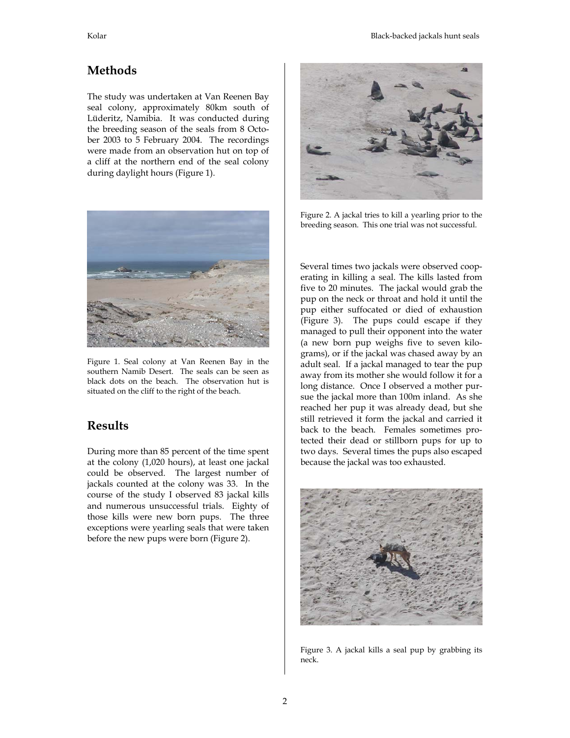# **Methods**

The study was undertaken at Van Reenen Bay seal colony, approximately 80km south of Lüderitz, Namibia. It was conducted during the breeding season of the seals from 8 October 2003 to 5 February 2004. The recordings were made from an observation hut on top of a cliff at the northern end of the seal colony during daylight hours (Figure 1).



Figure 1. Seal colony at Van Reenen Bay in the southern Namib Desert. The seals can be seen as black dots on the beach. The observation hut is situated on the cliff to the right of the beach.

# **Results**

During more than 85 percent of the time spent at the colony (1,020 hours), at least one jackal could be observed. The largest number of jackals counted at the colony was 33. In the course of the study I observed 83 jackal kills and numerous unsuccessful trials. Eighty of those kills were new born pups. The three exceptions were yearling seals that were taken before the new pups were born (Figure 2).



Figure 2. A jackal tries to kill a yearling prior to the breeding season. This one trial was not successful.

Several times two jackals were observed cooperating in killing a seal. The kills lasted from five to 20 minutes. The jackal would grab the pup on the neck or throat and hold it until the pup either suffocated or died of exhaustion (Figure 3). The pups could escape if they managed to pull their opponent into the water (a new born pup weighs five to seven kilograms), or if the jackal was chased away by an adult seal. If a jackal managed to tear the pup away from its mother she would follow it for a long distance. Once I observed a mother pursue the jackal more than 100m inland. As she reached her pup it was already dead, but she still retrieved it form the jackal and carried it back to the beach. Females sometimes protected their dead or stillborn pups for up to two days. Several times the pups also escaped because the jackal was too exhausted.



Figure 3. A jackal kills a seal pup by grabbing its neck.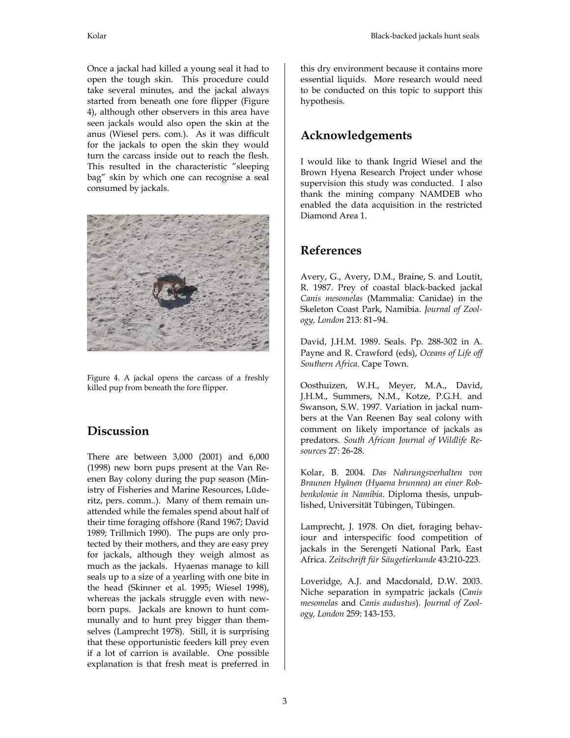Once a jackal had killed a young seal it had to open the tough skin. This procedure could take several minutes, and the jackal always started from beneath one fore flipper (Figure 4), although other observers in this area have seen jackals would also open the skin at the anus (Wiesel pers. com.). As it was difficult for the jackals to open the skin they would turn the carcass inside out to reach the flesh. This resulted in the characteristic "sleeping bag" skin by which one can recognise a seal consumed by jackals.



Figure 4. A jackal opens the carcass of a freshly killed pup from beneath the fore flipper.

## **Discussion**

There are between 3,000 (2001) and 6,000 (1998) new born pups present at the Van Reenen Bay colony during the pup season (Ministry of Fisheries and Marine Resources, Lüderitz, pers. comm..). Many of them remain unattended while the females spend about half of their time foraging offshore (Rand 1967; David 1989; Trillmich 1990). The pups are only protected by their mothers, and they are easy prey for jackals, although they weigh almost as much as the jackals. Hyaenas manage to kill seals up to a size of a yearling with one bite in the head (Skinner et al. 1995; Wiesel 1998), whereas the jackals struggle even with newborn pups. Jackals are known to hunt communally and to hunt prey bigger than themselves (Lamprecht 1978). Still, it is surprising that these opportunistic feeders kill prey even if a lot of carrion is available. One possible explanation is that fresh meat is preferred in this dry environment because it contains more essential liquids. More research would need to be conducted on this topic to support this hypothesis.

### **Acknowledgements**

I would like to thank Ingrid Wiesel and the Brown Hyena Research Project under whose supervision this study was conducted. I also thank the mining company NAMDEB who enabled the data acquisition in the restricted Diamond Area 1.

### **References**

Avery, G., Avery, D.M., Braine, S. and Loutit, R. 1987. Prey of coastal black-backed jackal *Canis mesomelas* (Mammalia: Canidae) in the Skeleton Coast Park, Namibia. *Journal of Zoology, London* 213: 81–94.

David, J.H.M. 1989. Seals. Pp. 288-302 in A. Payne and R. Crawford (eds), *Oceans of Life off Southern Africa.* Cape Town.

Oosthuizen, W.H., Meyer, M.A., David, J.H.M., Summers, N.M., Kotze, P.G.H. and Swanson, S.W. 1997. Variation in jackal numbers at the Van Reenen Bay seal colony with comment on likely importance of jackals as predators. *South African Journal of Wildlife Resources* 27: 26-28.

Kolar, B. 2004. *Das Nahrungsverhalten von Braunen Hyänen (Hyaena brunnea) an einer Robbenkolonie in Namibia*. Diploma thesis, unpublished, Universität Tübingen, Tübingen.

Lamprecht, J. 1978. On diet, foraging behaviour and interspecific food competition of jackals in the Serengeti National Park, East Africa. *Zeitschrift für Säugetierkunde* 43:210-223.

Loveridge, A.J. and Macdonald, D.W. 2003. Niche separation in sympatric jackals (*Canis mesomelas* and *Canis audustus*). *Journal of Zoology, London* 259: 143-153.